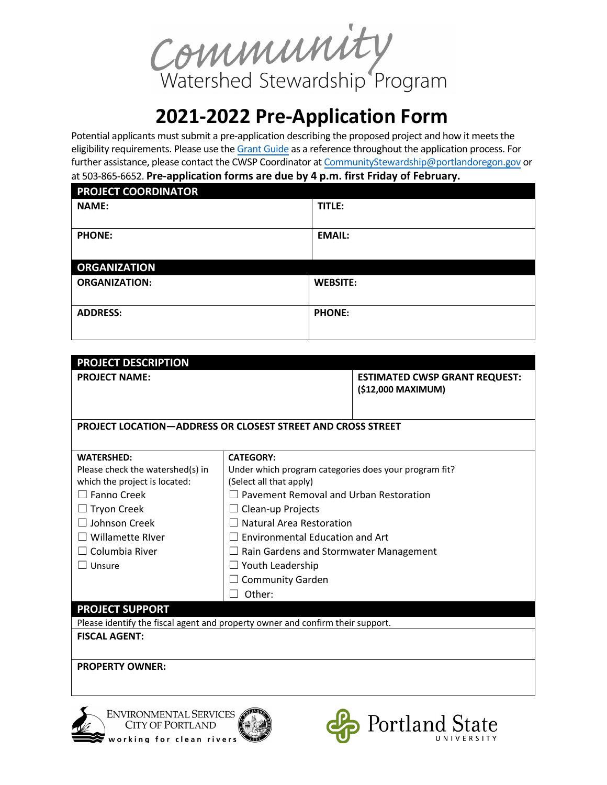Community<br>Watershed Stewardship Program

## **2021-2022 Pre-Application Form**

Potential applicants must submit a pre-application describing the proposed project and how it meets the eligibility requirements. Please use the Grant Guide as a reference throughout the application process. For further assistance, please contact the CWSP Coordinator at CommunityStewardship@portlandoregon.gov or at 503-865-6652. **Pre-application forms are due by 4 p.m. first Friday of February.** 

| <b>PROJECT COORDINATOR</b> |                 |
|----------------------------|-----------------|
| <b>NAME:</b>               | TITLE:          |
|                            |                 |
| <b>PHONE:</b>              | <b>EMAIL:</b>   |
|                            |                 |
| <b>ORGANIZATION</b>        |                 |
| <b>ORGANIZATION:</b>       | <b>WEBSITE:</b> |
|                            |                 |
| <b>ADDRESS:</b>            | <b>PHONE:</b>   |
|                            |                 |

| <b>PROJECT DESCRIPTION</b>                                                     |                                                       |                                                            |
|--------------------------------------------------------------------------------|-------------------------------------------------------|------------------------------------------------------------|
| <b>PROJECT NAME:</b>                                                           |                                                       | <b>ESTIMATED CWSP GRANT REQUEST:</b><br>(\$12,000 MAXIMUM) |
|                                                                                |                                                       |                                                            |
| <b>PROJECT LOCATION-ADDRESS OR CLOSEST STREET AND CROSS STREET</b>             |                                                       |                                                            |
|                                                                                |                                                       |                                                            |
| <b>WATERSHED:</b>                                                              | <b>CATEGORY:</b>                                      |                                                            |
| Please check the watershed(s) in                                               | Under which program categories does your program fit? |                                                            |
| which the project is located:                                                  | (Select all that apply)                               |                                                            |
| $\Box$ Fanno Creek                                                             | $\Box$ Pavement Removal and Urban Restoration         |                                                            |
| $\Box$ Tryon Creek                                                             | $\Box$ Clean-up Projects                              |                                                            |
| $\Box$ Johnson Creek                                                           | $\Box$ Natural Area Restoration                       |                                                            |
| $\Box$ Willamette River                                                        | <b>Environmental Education and Art</b>                |                                                            |
| $\Box$ Columbia River                                                          | $\Box$ Rain Gardens and Stormwater Management         |                                                            |
|                                                                                | $\Box$ Youth Leadership                               |                                                            |
|                                                                                | <b>Community Garden</b><br>$\blacksquare$             |                                                            |
|                                                                                | Other:                                                |                                                            |
| <b>PROJECT SUPPORT</b>                                                         |                                                       |                                                            |
| Please identify the fiscal agent and property owner and confirm their support. |                                                       |                                                            |
| <b>FISCAL AGENT:</b>                                                           |                                                       |                                                            |
|                                                                                |                                                       |                                                            |
| <b>PROPERTY OWNER:</b>                                                         |                                                       |                                                            |
|                                                                                |                                                       |                                                            |
|                                                                                |                                                       |                                                            |
|                                                                                |                                                       |                                                            |
| <b>ENVIRONMENTAL SERVICES</b><br><b>CITY OF PORTLAND</b>                       |                                                       | Portland State                                             |

working for clean rivers

Portland State